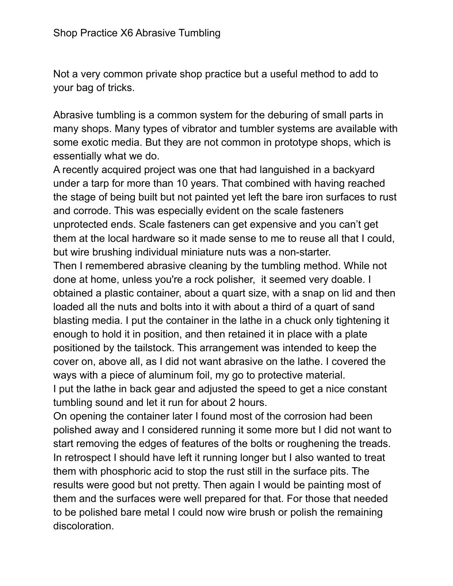Not a very common private shop practice but a useful method to add to your bag of tricks.

Abrasive tumbling is a common system for the deburing of small parts in many shops. Many types of vibrator and tumbler systems are available with some exotic media. But they are not common in prototype shops, which is essentially what we do.

A recently acquired project was one that had languished in a backyard under a tarp for more than 10 years. That combined with having reached the stage of being built but not painted yet left the bare iron surfaces to rust and corrode. This was especially evident on the scale fasteners unprotected ends. Scale fasteners can get expensive and you can't get them at the local hardware so it made sense to me to reuse all that I could, but wire brushing individual miniature nuts was a non-starter.

Then I remembered abrasive cleaning by the tumbling method. While not done at home, unless you're a rock polisher, it seemed very doable. I obtained a plastic container, about a quart size, with a snap on lid and then loaded all the nuts and bolts into it with about a third of a quart of sand blasting media. I put the container in the lathe in a chuck only tightening it enough to hold it in position, and then retained it in place with a plate positioned by the tailstock. This arrangement was intended to keep the cover on, above all, as I did not want abrasive on the lathe. I covered the ways with a piece of aluminum foil, my go to protective material. I put the lathe in back gear and adjusted the speed to get a nice constant tumbling sound and let it run for about 2 hours.

On opening the container later I found most of the corrosion had been polished away and I considered running it some more but I did not want to start removing the edges of features of the bolts or roughening the treads. In retrospect I should have left it running longer but I also wanted to treat them with phosphoric acid to stop the rust still in the surface pits. The results were good but not pretty. Then again I would be painting most of them and the surfaces were well prepared for that. For those that needed to be polished bare metal I could now wire brush or polish the remaining discoloration.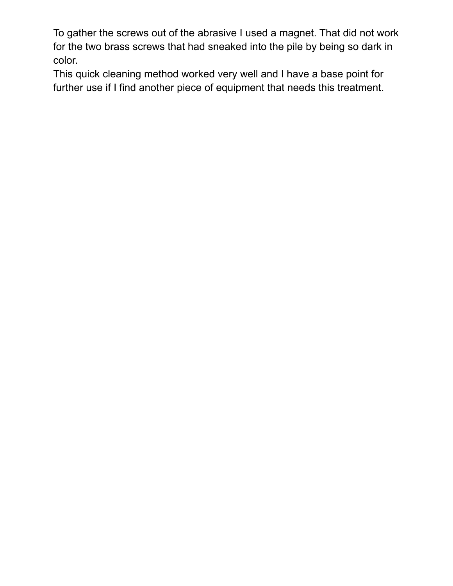To gather the screws out of the abrasive I used a magnet. That did not work for the two brass screws that had sneaked into the pile by being so dark in color.

This quick cleaning method worked very well and I have a base point for further use if I find another piece of equipment that needs this treatment.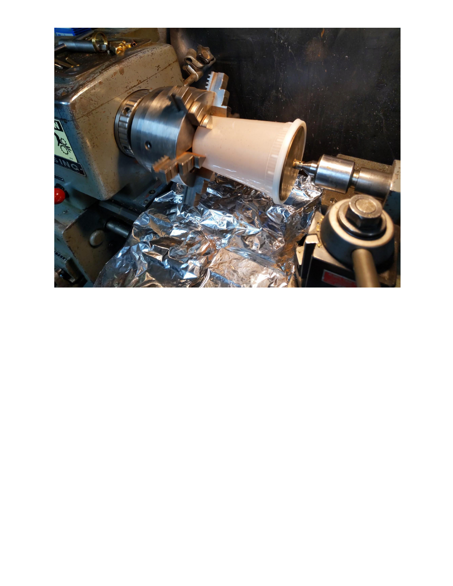